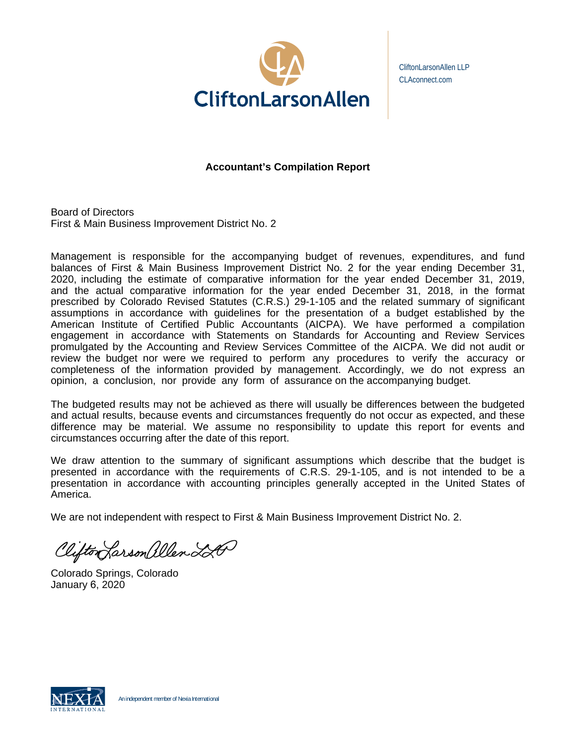

CliftonLarsonAllen LLP CLAconnect.com

# **Accountant's Compilation Report**

Board of Directors First & Main Business Improvement District No. 2

Management is responsible for the accompanying budget of revenues, expenditures, and fund balances of First & Main Business Improvement District No. 2 for the year ending December 31, 2020, including the estimate of comparative information for the year ended December 31, 2019, and the actual comparative information for the year ended December 31, 2018, in the format prescribed by Colorado Revised Statutes (C.R.S.) 29-1-105 and the related summary of significant assumptions in accordance with guidelines for the presentation of a budget established by the American Institute of Certified Public Accountants (AICPA). We have performed a compilation engagement in accordance with Statements on Standards for Accounting and Review Services promulgated by the Accounting and Review Services Committee of the AICPA. We did not audit or review the budget nor were we required to perform any procedures to verify the accuracy or completeness of the information provided by management. Accordingly, we do not express an opinion, a conclusion, nor provide any form of assurance on the accompanying budget.

The budgeted results may not be achieved as there will usually be differences between the budgeted and actual results, because events and circumstances frequently do not occur as expected, and these difference may be material. We assume no responsibility to update this report for events and circumstances occurring after the date of this report.

We draw attention to the summary of significant assumptions which describe that the budget is presented in accordance with the requirements of C.R.S. 29-1-105, and is not intended to be a presentation in accordance with accounting principles generally accepted in the United States of America.

We are not independent with respect to First & Main Business Improvement District No. 2.

Clifton Larson allen LA

Colorado Springs, Colorado January 6, 2020

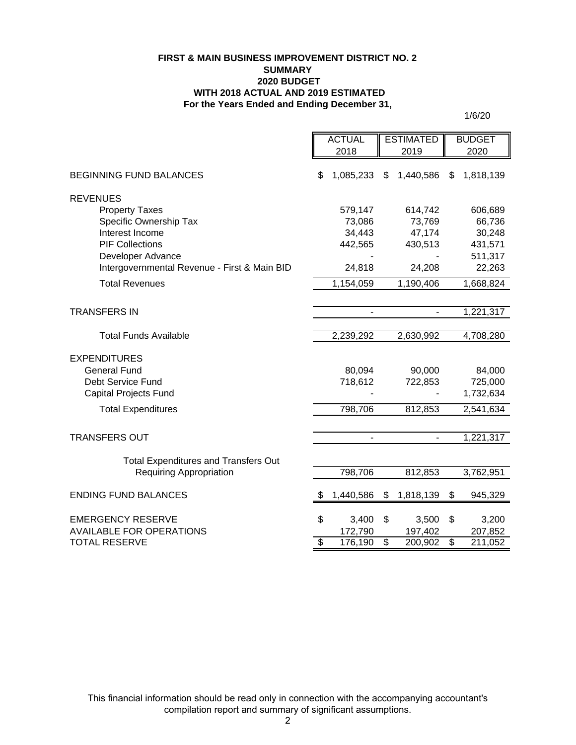### **FIRST & MAIN BUSINESS IMPROVEMENT DISTRICT NO. 2 SUMMARY 2020 BUDGET WITH 2018 ACTUAL AND 2019 ESTIMATED For the Years Ended and Ending December 31,**

1/6/20

| <b>ACTUAL</b><br><b>ESTIMATED</b><br><b>BUDGET</b><br>2018<br>2019<br>2020<br>\$<br><b>BEGINNING FUND BALANCES</b><br>1,085,233<br>1,440,586<br>1,818,139<br>\$<br>\$<br><b>REVENUES</b><br><b>Property Taxes</b><br>579,147<br>614,742<br>606,689<br>Specific Ownership Tax<br>73,086<br>66,736<br>73,769<br>Interest Income<br>34,443<br>47,174<br>30,248<br><b>PIF Collections</b><br>442,565<br>430,513<br>431,571<br>Developer Advance<br>511,317<br>Intergovernmental Revenue - First & Main BID<br>24,818<br>22,263<br>24,208<br><b>Total Revenues</b><br>1,190,406<br>1,154,059<br>1,668,824 |
|------------------------------------------------------------------------------------------------------------------------------------------------------------------------------------------------------------------------------------------------------------------------------------------------------------------------------------------------------------------------------------------------------------------------------------------------------------------------------------------------------------------------------------------------------------------------------------------------------|
|                                                                                                                                                                                                                                                                                                                                                                                                                                                                                                                                                                                                      |
|                                                                                                                                                                                                                                                                                                                                                                                                                                                                                                                                                                                                      |
|                                                                                                                                                                                                                                                                                                                                                                                                                                                                                                                                                                                                      |
|                                                                                                                                                                                                                                                                                                                                                                                                                                                                                                                                                                                                      |
|                                                                                                                                                                                                                                                                                                                                                                                                                                                                                                                                                                                                      |
|                                                                                                                                                                                                                                                                                                                                                                                                                                                                                                                                                                                                      |
|                                                                                                                                                                                                                                                                                                                                                                                                                                                                                                                                                                                                      |
|                                                                                                                                                                                                                                                                                                                                                                                                                                                                                                                                                                                                      |
|                                                                                                                                                                                                                                                                                                                                                                                                                                                                                                                                                                                                      |
|                                                                                                                                                                                                                                                                                                                                                                                                                                                                                                                                                                                                      |
|                                                                                                                                                                                                                                                                                                                                                                                                                                                                                                                                                                                                      |
|                                                                                                                                                                                                                                                                                                                                                                                                                                                                                                                                                                                                      |
| <b>TRANSFERS IN</b><br>1,221,317<br>$\overline{\phantom{0}}$                                                                                                                                                                                                                                                                                                                                                                                                                                                                                                                                         |
| <b>Total Funds Available</b><br>2,239,292<br>2,630,992<br>4,708,280                                                                                                                                                                                                                                                                                                                                                                                                                                                                                                                                  |
|                                                                                                                                                                                                                                                                                                                                                                                                                                                                                                                                                                                                      |
| <b>EXPENDITURES</b>                                                                                                                                                                                                                                                                                                                                                                                                                                                                                                                                                                                  |
| <b>General Fund</b><br>80,094<br>90,000<br>84,000                                                                                                                                                                                                                                                                                                                                                                                                                                                                                                                                                    |
| Debt Service Fund<br>718,612<br>722,853<br>725,000                                                                                                                                                                                                                                                                                                                                                                                                                                                                                                                                                   |
| <b>Capital Projects Fund</b><br>1,732,634                                                                                                                                                                                                                                                                                                                                                                                                                                                                                                                                                            |
| 798,706<br>812,853<br><b>Total Expenditures</b><br>2,541,634                                                                                                                                                                                                                                                                                                                                                                                                                                                                                                                                         |
|                                                                                                                                                                                                                                                                                                                                                                                                                                                                                                                                                                                                      |
| <b>TRANSFERS OUT</b><br>1,221,317<br>$\overline{\phantom{a}}$<br>$\blacksquare$                                                                                                                                                                                                                                                                                                                                                                                                                                                                                                                      |
| <b>Total Expenditures and Transfers Out</b>                                                                                                                                                                                                                                                                                                                                                                                                                                                                                                                                                          |
| 798,706<br>812,853<br>3,762,951<br><b>Requiring Appropriation</b>                                                                                                                                                                                                                                                                                                                                                                                                                                                                                                                                    |
|                                                                                                                                                                                                                                                                                                                                                                                                                                                                                                                                                                                                      |
| <b>ENDING FUND BALANCES</b><br>1,440,586<br>1,818,139<br>\$<br>945,329<br>S<br>\$                                                                                                                                                                                                                                                                                                                                                                                                                                                                                                                    |
|                                                                                                                                                                                                                                                                                                                                                                                                                                                                                                                                                                                                      |
| \$<br><b>EMERGENCY RESERVE</b><br>3,400<br>\$<br>3,500<br>\$<br>3,200<br><b>AVAILABLE FOR OPERATIONS</b><br>172,790<br>197,402<br>207,852                                                                                                                                                                                                                                                                                                                                                                                                                                                            |
| $\overline{\mathfrak{s}}$<br>$\overline{\mathcal{S}}$<br>$\overline{\mathcal{S}}$<br><b>TOTAL RESERVE</b><br>176,190<br>200,902<br>211,052                                                                                                                                                                                                                                                                                                                                                                                                                                                           |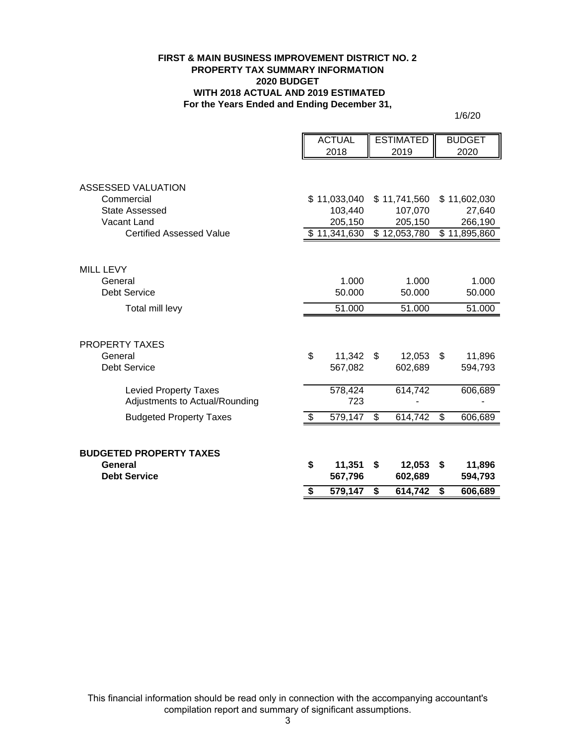### **FIRST & MAIN BUSINESS IMPROVEMENT DISTRICT NO. 2 PROPERTY TAX SUMMARY INFORMATION 2020 BUDGET WITH 2018 ACTUAL AND 2019 ESTIMATED For the Years Ended and Ending December 31,**

1/6/20

|                                 | <b>ACTUAL</b> | <b>ESTIMATED</b>         | <b>BUDGET</b>     |
|---------------------------------|---------------|--------------------------|-------------------|
|                                 | 2018          | 2019                     | 2020              |
|                                 |               |                          |                   |
| ASSESSED VALUATION              |               |                          |                   |
| Commercial                      | \$11,033,040  | \$11,741,560             | \$11,602,030      |
| <b>State Assessed</b>           | 103,440       | 107,070                  | 27,640            |
| Vacant Land                     | 205,150       | 205,150                  | 266,190           |
| <b>Certified Assessed Value</b> | \$11,341,630  | $\overline{$}12,053,780$ | \$11,895,860      |
|                                 |               |                          |                   |
| <b>MILL LEVY</b>                |               |                          |                   |
| General                         | 1.000         | 1.000                    | 1.000             |
| <b>Debt Service</b>             | 50.000        | 50.000                   | 50.000            |
| Total mill levy                 | 51.000        | 51.000                   | 51.000            |
| <b>PROPERTY TAXES</b>           |               |                          |                   |
| General                         | \$<br>11,342  | \$<br>12,053             | \$<br>11,896      |
| <b>Debt Service</b>             | 567,082       | 602,689                  | 594,793           |
|                                 |               |                          |                   |
| <b>Levied Property Taxes</b>    | 578,424       | 614,742                  | 606,689           |
| Adjustments to Actual/Rounding  | 723           |                          |                   |
| <b>Budgeted Property Taxes</b>  | \$<br>579,147 | \$<br>614,742            | \$<br>606,689     |
|                                 |               |                          |                   |
| <b>BUDGETED PROPERTY TAXES</b>  |               |                          |                   |
| General                         | \$<br>11,351  | \$<br>12,053             | \$                |
| <b>Debt Service</b>             | 567,796       | 602,689                  | 11,896<br>594,793 |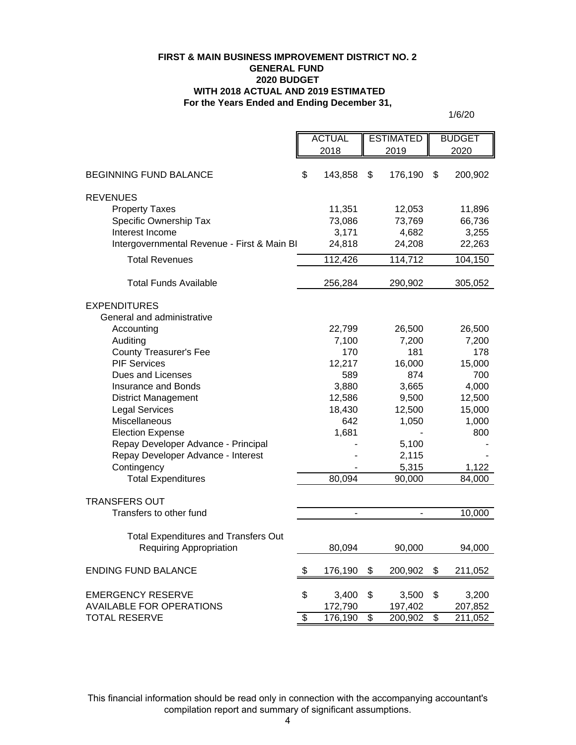### **For the Years Ended and Ending December 31, FIRST & MAIN BUSINESS IMPROVEMENT DISTRICT NO. 2 GENERAL FUND 2020 BUDGET WITH 2018 ACTUAL AND 2019 ESTIMATED**

1/6/20

|                                             | <b>ACTUAL</b>  | <b>ESTIMATED</b> |               | <b>BUDGET</b> |  |
|---------------------------------------------|----------------|------------------|---------------|---------------|--|
|                                             | 2018           | 2019             |               | 2020          |  |
| <b>BEGINNING FUND BALANCE</b>               | \$<br>143,858  | \$<br>176,190    | \$            | 200,902       |  |
| <b>REVENUES</b>                             |                |                  |               |               |  |
| <b>Property Taxes</b>                       | 11,351         | 12,053           |               | 11,896        |  |
| Specific Ownership Tax                      | 73,086         | 73,769           |               | 66,736        |  |
| Interest Income                             | 3,171          | 4,682            |               | 3,255         |  |
| Intergovernmental Revenue - First & Main BI | 24,818         | 24,208           |               | 22,263        |  |
| <b>Total Revenues</b>                       | 112,426        | 114,712          |               | 104,150       |  |
| <b>Total Funds Available</b>                | 256,284        | 290,902          |               | 305,052       |  |
| <b>EXPENDITURES</b>                         |                |                  |               |               |  |
| General and administrative                  |                |                  |               |               |  |
| Accounting                                  | 22,799         | 26,500           |               | 26,500        |  |
| Auditing                                    | 7,100          | 7,200            |               | 7,200         |  |
| <b>County Treasurer's Fee</b>               | 170            | 181              |               | 178           |  |
| <b>PIF Services</b>                         | 12,217         | 16,000           |               | 15,000        |  |
| Dues and Licenses                           | 589            | 874              |               | 700           |  |
| Insurance and Bonds                         | 3,880          | 3,665            |               | 4,000         |  |
| <b>District Management</b>                  | 12,586         | 9,500            |               | 12,500        |  |
| <b>Legal Services</b><br>Miscellaneous      | 18,430<br>642  | 12,500<br>1,050  |               | 15,000        |  |
| <b>Election Expense</b>                     | 1,681          |                  |               | 1,000<br>800  |  |
| Repay Developer Advance - Principal         |                | 5,100            |               |               |  |
| Repay Developer Advance - Interest          |                | 2,115            |               |               |  |
| Contingency                                 |                | 5,315            |               | 1,122         |  |
| <b>Total Expenditures</b>                   | 80,094         | 90,000           |               | 84,000        |  |
| <b>TRANSFERS OUT</b>                        |                |                  |               |               |  |
| Transfers to other fund                     | $\blacksquare$ | $\blacksquare$   |               | 10,000        |  |
| <b>Total Expenditures and Transfers Out</b> |                |                  |               |               |  |
| <b>Requiring Appropriation</b>              | 80,094         | 90,000           |               | 94,000        |  |
| <b>ENDING FUND BALANCE</b>                  | \$<br>176,190  | \$<br>200,902    | $\frac{1}{2}$ | 211,052       |  |
|                                             |                |                  |               |               |  |
| <b>EMERGENCY RESERVE</b>                    | \$<br>3,400    | \$<br>3,500      | \$            | 3,200         |  |
| <b>AVAILABLE FOR OPERATIONS</b>             | 172,790        | 197,402          |               | 207,852       |  |
| <b>TOTAL RESERVE</b>                        | \$<br>176,190  | \$<br>200,902    | \$            | 211,052       |  |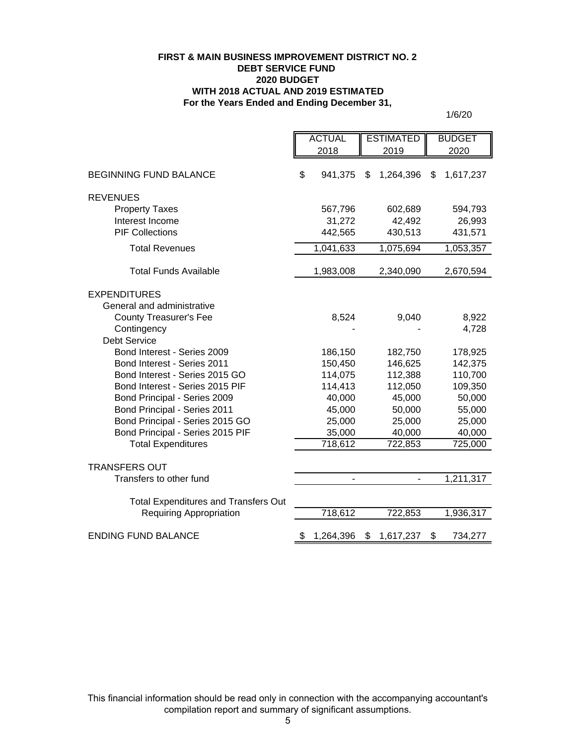### **FIRST & MAIN BUSINESS IMPROVEMENT DISTRICT NO. 2 DEBT SERVICE FUND 2020 BUDGET WITH 2018 ACTUAL AND 2019 ESTIMATED For the Years Ended and Ending December 31,**

1/6/20

|                                             | <b>ACTUAL</b>   | <b>ESTIMATED</b> |                 |
|---------------------------------------------|-----------------|------------------|-----------------|
|                                             | 2018            | 2019             | 2020            |
| <b>BEGINNING FUND BALANCE</b>               | \$<br>941,375   | 1,264,396<br>\$  | \$<br>1,617,237 |
| <b>REVENUES</b>                             |                 |                  |                 |
| <b>Property Taxes</b>                       | 567,796         | 602,689          | 594,793         |
| Interest Income                             | 31,272          | 42,492           | 26,993          |
| <b>PIF Collections</b>                      | 442,565         | 430,513          | 431,571         |
| <b>Total Revenues</b>                       | 1,041,633       | 1,075,694        | 1,053,357       |
| <b>Total Funds Available</b>                | 1,983,008       | 2,340,090        | 2,670,594       |
| <b>EXPENDITURES</b>                         |                 |                  |                 |
| General and administrative                  |                 |                  |                 |
| <b>County Treasurer's Fee</b>               | 8,524           | 9,040            | 8,922           |
| Contingency                                 |                 |                  | 4,728           |
| <b>Debt Service</b>                         |                 |                  |                 |
| Bond Interest - Series 2009                 | 186,150         | 182,750          | 178,925         |
| Bond Interest - Series 2011                 | 150,450         | 146,625          | 142,375         |
| Bond Interest - Series 2015 GO              | 114,075         | 112,388          | 110,700         |
| Bond Interest - Series 2015 PIF             | 114,413         | 112,050          | 109,350         |
| Bond Principal - Series 2009                | 40,000          | 45,000           | 50,000          |
| Bond Principal - Series 2011                | 45,000          | 50,000           | 55,000          |
| Bond Principal - Series 2015 GO             | 25,000          | 25,000           | 25,000          |
| Bond Principal - Series 2015 PIF            | 35,000          | 40,000           | 40,000          |
| <b>Total Expenditures</b>                   | 718,612         | 722,853          | 725,000         |
| <b>TRANSFERS OUT</b>                        |                 |                  |                 |
| Transfers to other fund                     |                 |                  | 1,211,317       |
| <b>Total Expenditures and Transfers Out</b> |                 |                  |                 |
| <b>Requiring Appropriation</b>              | 718,612         | 722,853          | 1,936,317       |
| <b>ENDING FUND BALANCE</b>                  | 1,264,396<br>\$ | \$<br>1,617,237  | \$<br>734,277   |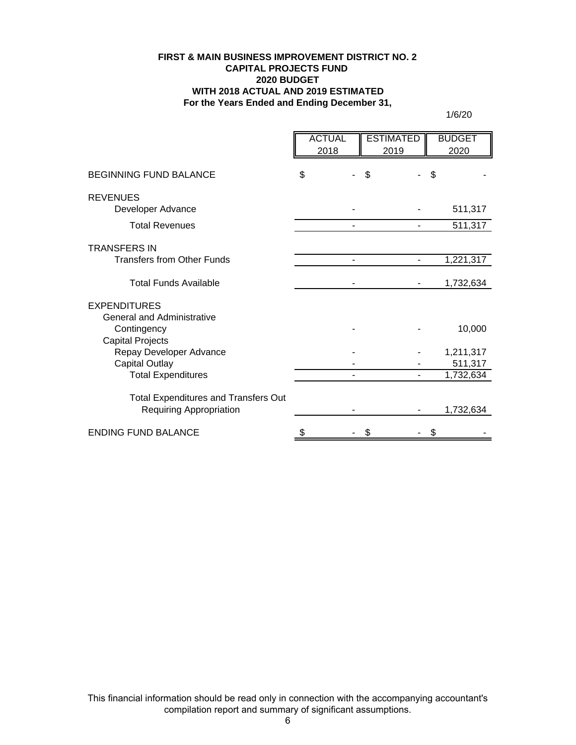### **FIRST & MAIN BUSINESS IMPROVEMENT DISTRICT NO. 2 CAPITAL PROJECTS FUND 2020 BUDGET WITH 2018 ACTUAL AND 2019 ESTIMATED For the Years Ended and Ending December 31,**

1/6/20

|                                                                               | <b>ACTUAL</b><br>2018 | <b>ESTIMATED</b><br>2019 | <b>BUDGET</b><br>2020 |
|-------------------------------------------------------------------------------|-----------------------|--------------------------|-----------------------|
| <b>BEGINNING FUND BALANCE</b>                                                 | \$                    | \$                       | \$                    |
| <b>REVENUES</b>                                                               |                       |                          | 511,317               |
| Developer Advance<br><b>Total Revenues</b>                                    |                       |                          | 511,317               |
| <b>TRANSFERS IN</b>                                                           |                       |                          |                       |
| <b>Transfers from Other Funds</b>                                             |                       | $\blacksquare$           | 1,221,317             |
| <b>Total Funds Available</b>                                                  |                       |                          | 1,732,634             |
| <b>EXPENDITURES</b>                                                           |                       |                          |                       |
| <b>General and Administrative</b><br>Contingency<br>Capital Projects          |                       |                          | 10,000                |
| Repay Developer Advance                                                       |                       |                          | 1,211,317             |
| <b>Capital Outlay</b><br><b>Total Expenditures</b>                            |                       |                          | 511,317<br>1,732,634  |
|                                                                               |                       |                          |                       |
| <b>Total Expenditures and Transfers Out</b><br><b>Requiring Appropriation</b> |                       |                          | 1,732,634             |
| <b>ENDING FUND BALANCE</b>                                                    | \$                    | \$                       | \$                    |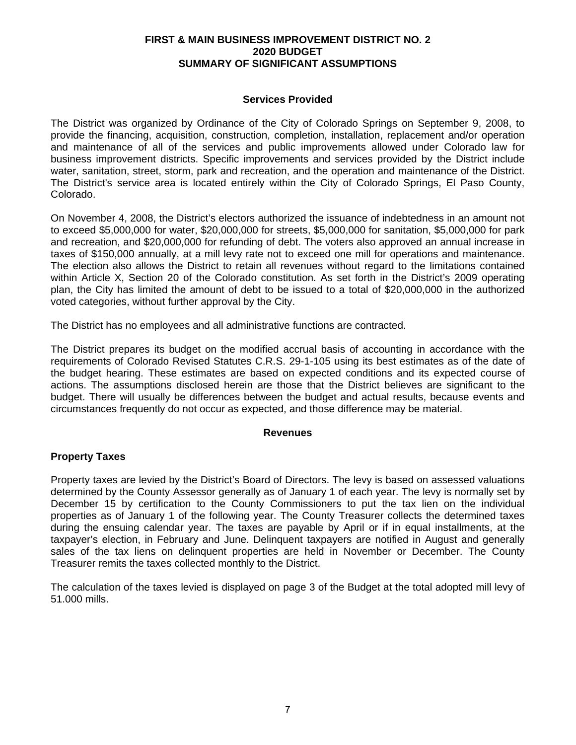# **FIRST & MAIN BUSINESS IMPROVEMENT DISTRICT NO. 2 2020 BUDGET SUMMARY OF SIGNIFICANT ASSUMPTIONS**

# **Services Provided**

The District was organized by Ordinance of the City of Colorado Springs on September 9, 2008, to provide the financing, acquisition, construction, completion, installation, replacement and/or operation and maintenance of all of the services and public improvements allowed under Colorado law for business improvement districts. Specific improvements and services provided by the District include water, sanitation, street, storm, park and recreation, and the operation and maintenance of the District. The District's service area is located entirely within the City of Colorado Springs, El Paso County, Colorado.

On November 4, 2008, the District's electors authorized the issuance of indebtedness in an amount not to exceed \$5,000,000 for water, \$20,000,000 for streets, \$5,000,000 for sanitation, \$5,000,000 for park and recreation, and \$20,000,000 for refunding of debt. The voters also approved an annual increase in taxes of \$150,000 annually, at a mill levy rate not to exceed one mill for operations and maintenance. The election also allows the District to retain all revenues without regard to the limitations contained within Article X, Section 20 of the Colorado constitution. As set forth in the District's 2009 operating plan, the City has limited the amount of debt to be issued to a total of \$20,000,000 in the authorized voted categories, without further approval by the City.

The District has no employees and all administrative functions are contracted.

The District prepares its budget on the modified accrual basis of accounting in accordance with the requirements of Colorado Revised Statutes C.R.S. 29-1-105 using its best estimates as of the date of the budget hearing. These estimates are based on expected conditions and its expected course of actions. The assumptions disclosed herein are those that the District believes are significant to the budget. There will usually be differences between the budget and actual results, because events and circumstances frequently do not occur as expected, and those difference may be material.

### **Revenues**

# **Property Taxes**

Property taxes are levied by the District's Board of Directors. The levy is based on assessed valuations determined by the County Assessor generally as of January 1 of each year. The levy is normally set by December 15 by certification to the County Commissioners to put the tax lien on the individual properties as of January 1 of the following year. The County Treasurer collects the determined taxes during the ensuing calendar year. The taxes are payable by April or if in equal installments, at the taxpayer's election, in February and June. Delinquent taxpayers are notified in August and generally sales of the tax liens on delinquent properties are held in November or December. The County Treasurer remits the taxes collected monthly to the District.

The calculation of the taxes levied is displayed on page 3 of the Budget at the total adopted mill levy of 51.000 mills.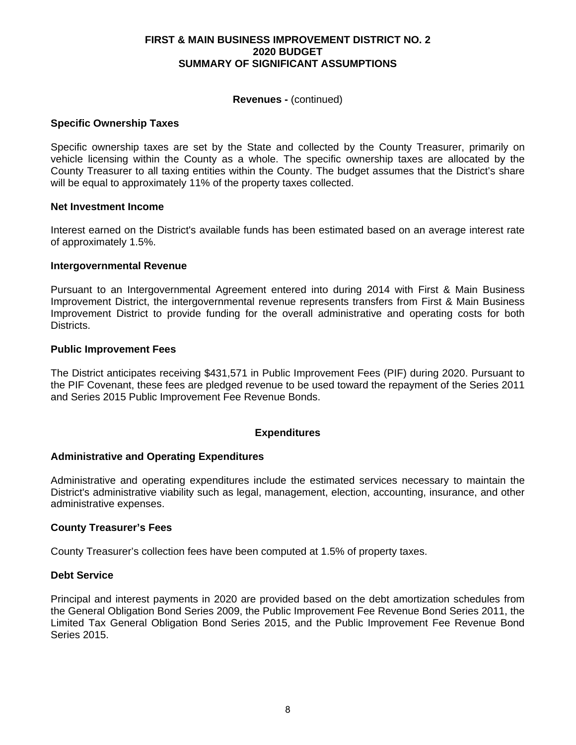### **FIRST & MAIN BUSINESS IMPROVEMENT DISTRICT NO. 2 2020 BUDGET SUMMARY OF SIGNIFICANT ASSUMPTIONS**

### **Revenues -** (continued)

### **Specific Ownership Taxes**

Specific ownership taxes are set by the State and collected by the County Treasurer, primarily on vehicle licensing within the County as a whole. The specific ownership taxes are allocated by the County Treasurer to all taxing entities within the County. The budget assumes that the District's share will be equal to approximately 11% of the property taxes collected.

### **Net Investment Income**

Interest earned on the District's available funds has been estimated based on an average interest rate of approximately 1.5%.

### **Intergovernmental Revenue**

Pursuant to an Intergovernmental Agreement entered into during 2014 with First & Main Business Improvement District, the intergovernmental revenue represents transfers from First & Main Business Improvement District to provide funding for the overall administrative and operating costs for both Districts.

### **Public Improvement Fees**

The District anticipates receiving \$431,571 in Public Improvement Fees (PIF) during 2020. Pursuant to the PIF Covenant, these fees are pledged revenue to be used toward the repayment of the Series 2011 and Series 2015 Public Improvement Fee Revenue Bonds.

### **Expenditures**

### **Administrative and Operating Expenditures**

Administrative and operating expenditures include the estimated services necessary to maintain the District's administrative viability such as legal, management, election, accounting, insurance, and other administrative expenses.

#### **County Treasurer's Fees**

County Treasurer's collection fees have been computed at 1.5% of property taxes.

#### **Debt Service**

Principal and interest payments in 2020 are provided based on the debt amortization schedules from the General Obligation Bond Series 2009, the Public Improvement Fee Revenue Bond Series 2011, the Limited Tax General Obligation Bond Series 2015, and the Public Improvement Fee Revenue Bond Series 2015.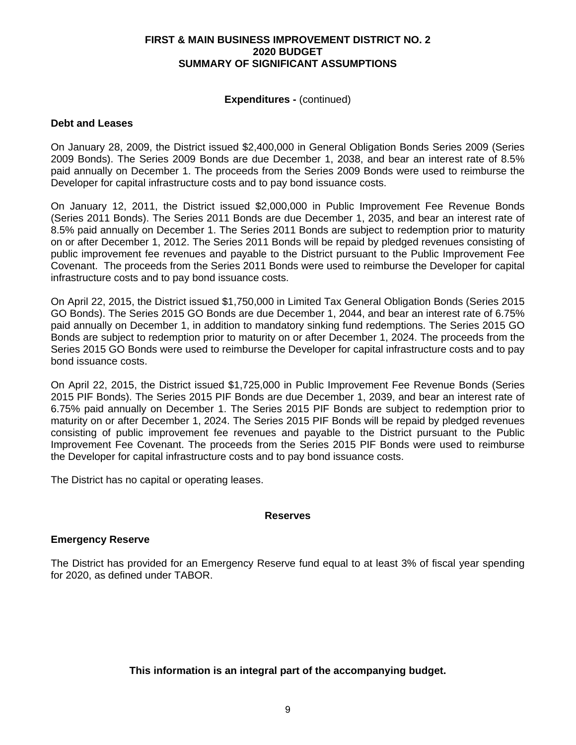### **FIRST & MAIN BUSINESS IMPROVEMENT DISTRICT NO. 2 2020 BUDGET SUMMARY OF SIGNIFICANT ASSUMPTIONS**

### **Expenditures -** (continued)

# **Debt and Leases**

On January 28, 2009, the District issued \$2,400,000 in General Obligation Bonds Series 2009 (Series 2009 Bonds). The Series 2009 Bonds are due December 1, 2038, and bear an interest rate of 8.5% paid annually on December 1. The proceeds from the Series 2009 Bonds were used to reimburse the Developer for capital infrastructure costs and to pay bond issuance costs.

On January 12, 2011, the District issued \$2,000,000 in Public Improvement Fee Revenue Bonds (Series 2011 Bonds). The Series 2011 Bonds are due December 1, 2035, and bear an interest rate of 8.5% paid annually on December 1. The Series 2011 Bonds are subject to redemption prior to maturity on or after December 1, 2012. The Series 2011 Bonds will be repaid by pledged revenues consisting of public improvement fee revenues and payable to the District pursuant to the Public Improvement Fee Covenant. The proceeds from the Series 2011 Bonds were used to reimburse the Developer for capital infrastructure costs and to pay bond issuance costs.

On April 22, 2015, the District issued \$1,750,000 in Limited Tax General Obligation Bonds (Series 2015 GO Bonds). The Series 2015 GO Bonds are due December 1, 2044, and bear an interest rate of 6.75% paid annually on December 1, in addition to mandatory sinking fund redemptions. The Series 2015 GO Bonds are subject to redemption prior to maturity on or after December 1, 2024. The proceeds from the Series 2015 GO Bonds were used to reimburse the Developer for capital infrastructure costs and to pay bond issuance costs.

On April 22, 2015, the District issued \$1,725,000 in Public Improvement Fee Revenue Bonds (Series 2015 PIF Bonds). The Series 2015 PIF Bonds are due December 1, 2039, and bear an interest rate of 6.75% paid annually on December 1. The Series 2015 PIF Bonds are subject to redemption prior to maturity on or after December 1, 2024. The Series 2015 PIF Bonds will be repaid by pledged revenues consisting of public improvement fee revenues and payable to the District pursuant to the Public Improvement Fee Covenant. The proceeds from the Series 2015 PIF Bonds were used to reimburse the Developer for capital infrastructure costs and to pay bond issuance costs.

The District has no capital or operating leases.

### **Reserves**

### **Emergency Reserve**

The District has provided for an Emergency Reserve fund equal to at least 3% of fiscal year spending for 2020, as defined under TABOR.

**This information is an integral part of the accompanying budget.**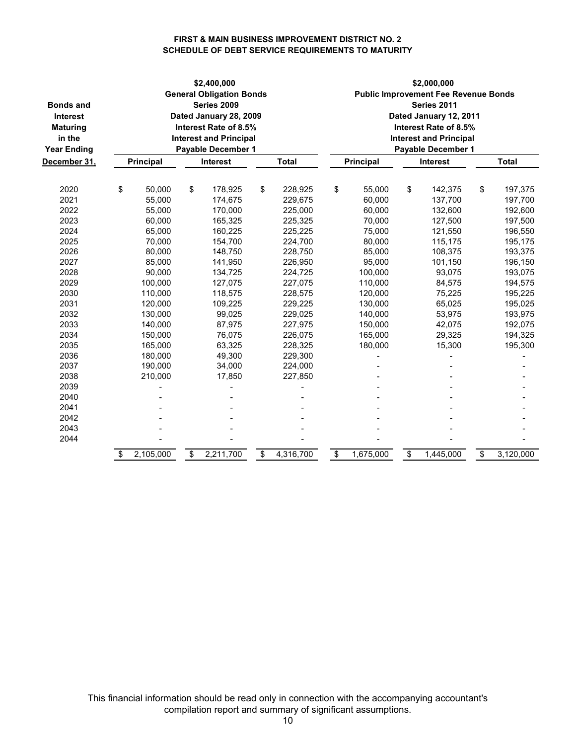### **FIRST & MAIN BUSINESS IMPROVEMENT DISTRICT NO. 2 SCHEDULE OF DEBT SERVICE REQUIREMENTS TO MATURITY**

| <b>Bonds and</b><br>Interest<br><b>Maturing</b><br>in the<br><b>Year Ending</b><br>December 31, | \$2,400,000<br><b>General Obligation Bonds</b><br>Series 2009<br>Dated January 28, 2009<br>Interest Rate of 8.5%<br><b>Interest and Principal</b><br><b>Payable December 1</b><br><b>Principal</b><br><b>Interest</b><br><b>Total</b> |           |    |           |    |           | \$2,000,000<br><b>Public Improvement Fee Revenue Bonds</b><br>Series 2011<br>Dated January 12, 2011<br>Interest Rate of 8.5%<br><b>Interest and Principal</b><br><b>Payable December 1</b><br><b>Total</b><br><b>Principal</b><br><b>Interest</b> |           |    |           |    |           |  |  |
|-------------------------------------------------------------------------------------------------|---------------------------------------------------------------------------------------------------------------------------------------------------------------------------------------------------------------------------------------|-----------|----|-----------|----|-----------|---------------------------------------------------------------------------------------------------------------------------------------------------------------------------------------------------------------------------------------------------|-----------|----|-----------|----|-----------|--|--|
| 2020                                                                                            | \$                                                                                                                                                                                                                                    | 50.000    | \$ | 178,925   | \$ | 228,925   | \$                                                                                                                                                                                                                                                | 55,000    | \$ | 142,375   | \$ | 197,375   |  |  |
| 2021                                                                                            |                                                                                                                                                                                                                                       | 55,000    |    | 174,675   |    | 229,675   |                                                                                                                                                                                                                                                   | 60,000    |    | 137,700   |    | 197,700   |  |  |
| 2022                                                                                            |                                                                                                                                                                                                                                       | 55,000    |    | 170,000   |    | 225,000   |                                                                                                                                                                                                                                                   | 60,000    |    | 132,600   |    | 192,600   |  |  |
| 2023                                                                                            |                                                                                                                                                                                                                                       | 60,000    |    | 165,325   |    | 225,325   |                                                                                                                                                                                                                                                   | 70,000    |    | 127,500   |    | 197,500   |  |  |
| 2024                                                                                            |                                                                                                                                                                                                                                       | 65,000    |    | 160,225   |    | 225,225   |                                                                                                                                                                                                                                                   | 75,000    |    | 121,550   |    | 196,550   |  |  |
| 2025                                                                                            |                                                                                                                                                                                                                                       | 70,000    |    | 154,700   |    | 224,700   |                                                                                                                                                                                                                                                   | 80,000    |    | 115,175   |    | 195,175   |  |  |
| 2026                                                                                            |                                                                                                                                                                                                                                       | 80,000    |    | 148,750   |    | 228,750   |                                                                                                                                                                                                                                                   | 85,000    |    | 108,375   |    | 193,375   |  |  |
| 2027                                                                                            |                                                                                                                                                                                                                                       | 85,000    |    | 141,950   |    | 226,950   |                                                                                                                                                                                                                                                   | 95,000    |    | 101,150   |    | 196,150   |  |  |
| 2028                                                                                            |                                                                                                                                                                                                                                       | 90,000    |    | 134,725   |    | 224,725   |                                                                                                                                                                                                                                                   | 100,000   |    | 93,075    |    | 193,075   |  |  |
| 2029                                                                                            |                                                                                                                                                                                                                                       | 100.000   |    | 127,075   |    | 227,075   |                                                                                                                                                                                                                                                   | 110.000   |    | 84,575    |    | 194,575   |  |  |
| 2030                                                                                            |                                                                                                                                                                                                                                       | 110,000   |    | 118,575   |    | 228,575   |                                                                                                                                                                                                                                                   | 120,000   |    | 75,225    |    | 195,225   |  |  |
| 2031                                                                                            |                                                                                                                                                                                                                                       | 120,000   |    | 109,225   |    | 229,225   |                                                                                                                                                                                                                                                   | 130,000   |    | 65,025    |    | 195,025   |  |  |
| 2032                                                                                            |                                                                                                                                                                                                                                       | 130,000   |    | 99,025    |    | 229,025   |                                                                                                                                                                                                                                                   | 140,000   |    | 53,975    |    | 193,975   |  |  |
| 2033                                                                                            |                                                                                                                                                                                                                                       | 140,000   |    | 87,975    |    | 227,975   |                                                                                                                                                                                                                                                   | 150,000   |    | 42,075    |    | 192,075   |  |  |
| 2034                                                                                            |                                                                                                                                                                                                                                       | 150,000   |    | 76,075    |    | 226,075   |                                                                                                                                                                                                                                                   | 165,000   |    | 29,325    |    | 194,325   |  |  |
| 2035                                                                                            |                                                                                                                                                                                                                                       | 165,000   |    | 63,325    |    | 228,325   |                                                                                                                                                                                                                                                   | 180,000   |    | 15,300    |    | 195,300   |  |  |
| 2036                                                                                            |                                                                                                                                                                                                                                       | 180,000   |    | 49,300    |    | 229,300   |                                                                                                                                                                                                                                                   |           |    |           |    |           |  |  |
| 2037                                                                                            |                                                                                                                                                                                                                                       | 190,000   |    | 34,000    |    | 224,000   |                                                                                                                                                                                                                                                   |           |    |           |    |           |  |  |
| 2038                                                                                            |                                                                                                                                                                                                                                       | 210,000   |    | 17,850    |    | 227,850   |                                                                                                                                                                                                                                                   |           |    |           |    |           |  |  |
| 2039                                                                                            |                                                                                                                                                                                                                                       |           |    |           |    |           |                                                                                                                                                                                                                                                   |           |    |           |    |           |  |  |
| 2040                                                                                            |                                                                                                                                                                                                                                       |           |    |           |    |           |                                                                                                                                                                                                                                                   |           |    |           |    |           |  |  |
| 2041                                                                                            |                                                                                                                                                                                                                                       |           |    |           |    |           |                                                                                                                                                                                                                                                   |           |    |           |    |           |  |  |
| 2042                                                                                            |                                                                                                                                                                                                                                       |           |    |           |    |           |                                                                                                                                                                                                                                                   |           |    |           |    |           |  |  |
| 2043                                                                                            |                                                                                                                                                                                                                                       |           |    |           |    |           |                                                                                                                                                                                                                                                   |           |    |           |    |           |  |  |
| 2044                                                                                            |                                                                                                                                                                                                                                       |           |    |           |    |           |                                                                                                                                                                                                                                                   |           |    |           |    |           |  |  |
|                                                                                                 | \$                                                                                                                                                                                                                                    | 2,105,000 | \$ | 2,211,700 | \$ | 4,316,700 | \$                                                                                                                                                                                                                                                | 1,675,000 | \$ | 1,445,000 | \$ | 3,120,000 |  |  |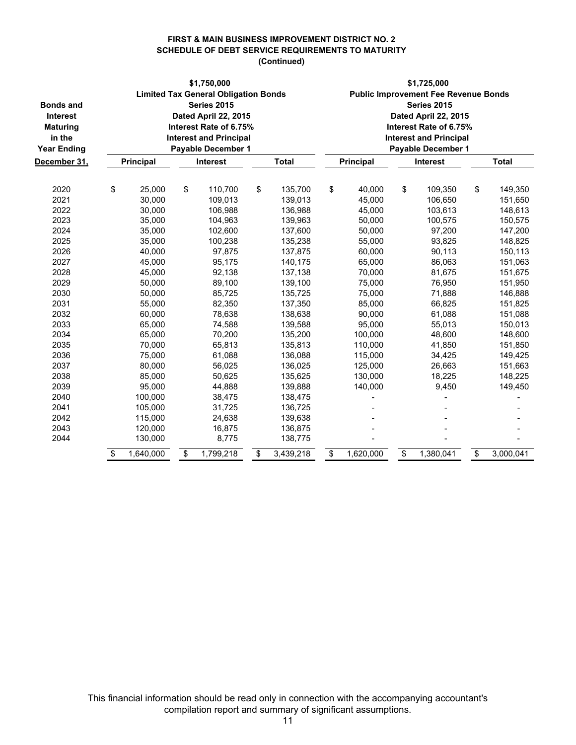#### **FIRST & MAIN BUSINESS IMPROVEMENT DISTRICT NO. 2 SCHEDULE OF DEBT SERVICE REQUIREMENTS TO MATURITY (Continued)**

| <b>Bonds and</b><br>Interest<br><b>Maturing</b><br>in the<br><b>Year Ending</b><br>December 31, | \$1,750,000<br><b>Limited Tax General Obligation Bonds</b><br><b>Series 2015</b><br>Dated April 22, 2015<br>Interest Rate of 6.75%<br><b>Interest and Principal</b><br><b>Payable December 1</b><br>Principal<br>Interest<br><b>Total</b> |    |                    |    |                    | \$1,725,000<br><b>Public Improvement Fee Revenue Bonds</b><br><b>Series 2015</b><br>Dated April 22, 2015<br>Interest Rate of 6.75%<br><b>Interest and Principal</b><br>Payable December 1<br><b>Total</b><br>Principal<br>Interest |                    |    |                    |    |                    |  |  |
|-------------------------------------------------------------------------------------------------|-------------------------------------------------------------------------------------------------------------------------------------------------------------------------------------------------------------------------------------------|----|--------------------|----|--------------------|------------------------------------------------------------------------------------------------------------------------------------------------------------------------------------------------------------------------------------|--------------------|----|--------------------|----|--------------------|--|--|
|                                                                                                 |                                                                                                                                                                                                                                           |    |                    |    |                    |                                                                                                                                                                                                                                    |                    |    |                    |    |                    |  |  |
| 2020<br>2021                                                                                    | \$<br>25,000<br>30,000                                                                                                                                                                                                                    | \$ | 110,700<br>109,013 | \$ | 135,700<br>139,013 | \$                                                                                                                                                                                                                                 | 40,000<br>45,000   | \$ | 109,350<br>106,650 | \$ | 149,350<br>151,650 |  |  |
| 2022<br>2023                                                                                    | 30,000<br>35,000                                                                                                                                                                                                                          |    | 106,988<br>104,963 |    | 136,988<br>139,963 |                                                                                                                                                                                                                                    | 45,000<br>50,000   |    | 103,613<br>100,575 |    | 148,613<br>150,575 |  |  |
| 2024<br>2025                                                                                    | 35,000<br>35,000                                                                                                                                                                                                                          |    | 102,600<br>100,238 |    | 137,600<br>135,238 |                                                                                                                                                                                                                                    | 50,000<br>55,000   |    | 97,200<br>93,825   |    | 147,200<br>148,825 |  |  |
| 2026<br>2027                                                                                    | 40,000<br>45,000                                                                                                                                                                                                                          |    | 97,875<br>95,175   |    | 137,875<br>140,175 |                                                                                                                                                                                                                                    | 60,000<br>65,000   |    | 90,113<br>86,063   |    | 150,113<br>151,063 |  |  |
| 2028<br>2029                                                                                    | 45,000<br>50,000                                                                                                                                                                                                                          |    | 92,138<br>89,100   |    | 137,138<br>139,100 |                                                                                                                                                                                                                                    | 70,000<br>75,000   |    | 81,675<br>76,950   |    | 151,675<br>151,950 |  |  |
| 2030<br>2031                                                                                    | 50,000<br>55,000                                                                                                                                                                                                                          |    | 85,725<br>82,350   |    | 135,725<br>137,350 |                                                                                                                                                                                                                                    | 75,000<br>85,000   |    | 71,888<br>66,825   |    | 146,888<br>151,825 |  |  |
| 2032<br>2033                                                                                    | 60,000<br>65,000                                                                                                                                                                                                                          |    | 78,638<br>74,588   |    | 138,638<br>139,588 |                                                                                                                                                                                                                                    | 90,000<br>95,000   |    | 61,088<br>55,013   |    | 151,088<br>150,013 |  |  |
| 2034<br>2035                                                                                    | 65,000<br>70,000                                                                                                                                                                                                                          |    | 70,200<br>65,813   |    | 135,200<br>135,813 |                                                                                                                                                                                                                                    | 100,000<br>110,000 |    | 48,600<br>41,850   |    | 148,600<br>151,850 |  |  |
| 2036                                                                                            | 75,000                                                                                                                                                                                                                                    |    | 61,088             |    | 136,088            |                                                                                                                                                                                                                                    | 115,000            |    | 34,425             |    | 149,425            |  |  |
| 2037<br>2038                                                                                    | 80,000<br>85,000                                                                                                                                                                                                                          |    | 56,025<br>50,625   |    | 136,025<br>135,625 |                                                                                                                                                                                                                                    | 125,000<br>130,000 |    | 26,663<br>18,225   |    | 151,663<br>148,225 |  |  |
| 2039<br>2040                                                                                    | 95,000<br>100,000                                                                                                                                                                                                                         |    | 44,888<br>38,475   |    | 139,888<br>138,475 |                                                                                                                                                                                                                                    | 140,000            |    | 9,450              |    | 149,450            |  |  |
| 2041<br>2042                                                                                    | 105,000<br>115,000                                                                                                                                                                                                                        |    | 31,725<br>24,638   |    | 136,725<br>139,638 |                                                                                                                                                                                                                                    |                    |    |                    |    |                    |  |  |
| 2043<br>2044                                                                                    | 120,000<br>130,000                                                                                                                                                                                                                        |    | 16,875<br>8,775    |    | 136,875<br>138,775 |                                                                                                                                                                                                                                    |                    |    |                    |    |                    |  |  |
|                                                                                                 | \$<br>1,640,000                                                                                                                                                                                                                           | \$ | 1,799,218          | \$ | 3,439,218          | \$                                                                                                                                                                                                                                 | 1,620,000          | \$ | 1,380,041          | \$ | 3,000,041          |  |  |